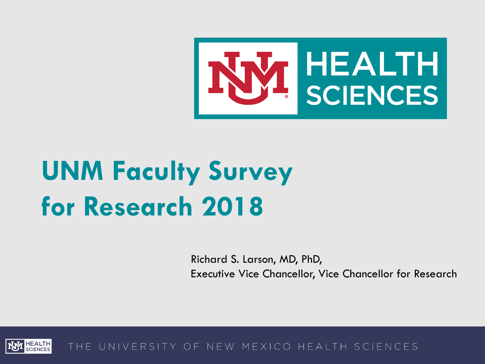

Richard S. Larson, MD, PhD, Executive Vice Chancellor, Vice Chancellor for Research

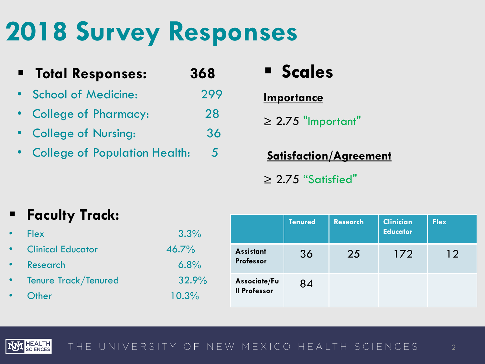# **2018 Survey Responses**

| $\blacksquare$ | <b>Total Responses:</b>         | 368 |
|----------------|---------------------------------|-----|
|                | <b>School of Medicine:</b>      | 299 |
|                | • College of Pharmacy:          | 28  |
|                | • College of Nursing:           | 36  |
|                | • College of Population Health: | 5   |

## **Scales**

## **Importance**

 $\geq 2.75$  "Important"

**Satisfaction/Agreement** ≥ 2.75 "Satisfied"

## **Faculty Track:**

| <b>Flex</b>              | 3.3%  |
|--------------------------|-------|
| <b>Clinical Educator</b> | 46.7% |
| <b>Research</b>          | 6.8%  |
| Tenure Track/Tenured     | 32.9% |
| Other                    | 10.3% |

|                                     | <b>Tenured</b> | <b>Research</b> | <b>Clinician</b><br><b>Educator</b> | <b>Flex</b> |
|-------------------------------------|----------------|-----------------|-------------------------------------|-------------|
| <b>Assistant</b><br>Professor       | 36             | 25              | 172                                 | 12          |
| Associate/Fu<br><b>Il Professor</b> | 84             |                 |                                     |             |

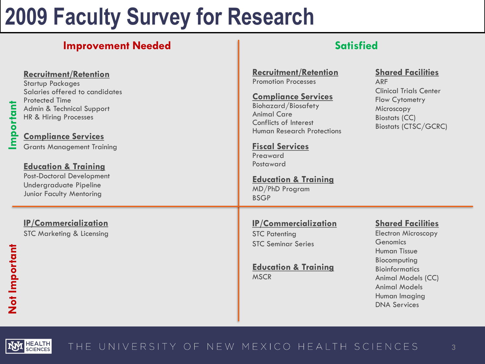## **Improvement Needed Satisfied**

### **Recruitment/Retention**

Startup Packages Salaries offered to candidates Protected Time Admin & Technical Support HR & Hiring Processes

## **Compliance Services**

Grants Management Training

### **Education & Training**

Post-Doctoral Development Undergraduate Pipeline Junior Faculty Mentoring

## **IP/Commercialization**

STC Marketing & Licensing

**Recruitment/Retention** Promotion Processes

### **Compliance Services**

Biohazard/Biosafety Animal Care Conflicts of Interest Human Research Protections

**Fiscal Services** Preaward Postaward

**Education & Training** MD/PhD Program BSGP

## **IP/Commercialization**

STC Patenting STC Seminar Series

**Education & Training MSCR** 

## **Shared Facilities**

ARF Clinical Trials Center Flow Cytometry Microscopy Biostats (CC) Biostats (CTSC/GCRC)

## **Shared Facilities**

Electron Microscopy **Genomics** Human Tissue Biocomputing Bioinformatics Animal Models (CC) Animal Models Human Imaging DNA Services

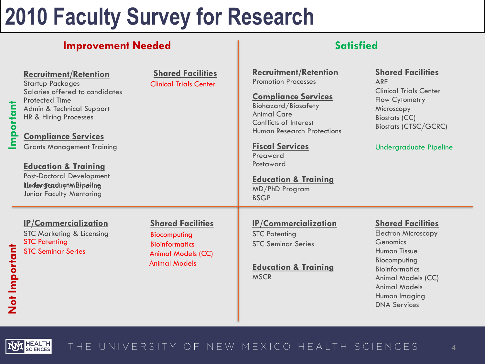## **Improvement Needed and Satisfied Satisfied**

HEALTH<br>SCIENCES

LQ.

| mportant      | <b>Recruitment/Retention</b><br><b>Startup Packages</b><br>Salaries offered to candidates<br><b>Protected Time</b><br>Admin & Technical Support<br>HR & Hiring Processes<br><b>Compliance Services</b><br><b>Grants Management Training</b><br><b>Education &amp; Training</b><br><b>Post-Doctoral Development</b><br>Under Freduction Bineling<br>Junior Faculty Mentoring | <b>Shared Facilities</b><br><b>Clinical Trials Center</b>                                                              | <b>Recruitment/Retention</b><br><b>Promotion Processes</b><br><b>Compliance Services</b><br><b>Biohazard/Biosafety</b><br><b>Animal Care</b><br>Conflicts of Interest<br><b>Human Research Protections</b><br><b>Fiscal Services</b><br>Preaward<br>Postaward<br><b>Education &amp; Training</b><br>MD/PhD Program<br><b>BSGP</b> | <b>Shared Facilities</b><br><b>ARF</b><br><b>Clinical Trials Center</b><br>Flow Cytometry<br>Microscopy<br><b>Biostats (CC)</b><br><b>Biostats (CTSC/GCRC)</b><br><b>Undergraduate Pipeline</b>                          |
|---------------|-----------------------------------------------------------------------------------------------------------------------------------------------------------------------------------------------------------------------------------------------------------------------------------------------------------------------------------------------------------------------------|------------------------------------------------------------------------------------------------------------------------|-----------------------------------------------------------------------------------------------------------------------------------------------------------------------------------------------------------------------------------------------------------------------------------------------------------------------------------|--------------------------------------------------------------------------------------------------------------------------------------------------------------------------------------------------------------------------|
| Not Important | <b>IP/Commercialization</b><br><b>STC Marketing &amp; Licensing</b><br><b>STC Patenting</b><br><b>STC Seminar Series</b>                                                                                                                                                                                                                                                    | <b>Shared Facilities</b><br>Biocomputing<br><b>Bioinformatics</b><br><b>Animal Models (CC)</b><br><b>Animal Models</b> | <b>IP/Commercialization</b><br><b>STC Patenting</b><br><b>STC Seminar Series</b><br><b>Education &amp; Training</b><br><b>MSCR</b>                                                                                                                                                                                                | <b>Shared Facilities</b><br><b>Electron Microscopy</b><br>Genomics<br><b>Human Tissue</b><br>Biocomputing<br><b>Bioinformatics</b><br>Animal Models (CC)<br><b>Animal Models</b><br>Human Imaging<br><b>DNA Services</b> |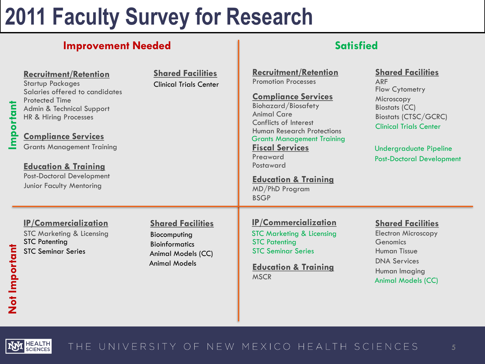## **Improvement Needed and Satisfied Satisfied**

HEALTH<br>SCIENCES

**IAN** 

| mportant      | <b>Recruitment/Retention</b><br><b>Startup Packages</b><br>Salaries offered to candidates<br><b>Protected Time</b><br>Admin & Technical Support<br>HR & Hiring Processes<br><b>Compliance Services</b><br><b>Grants Management Training</b><br><b>Education &amp; Training</b><br><b>Post-Doctoral Development</b><br>Junior Faculty Mentoring | <b>Shared Facilities</b><br><b>Clinical Trials Center</b>                                                       | <b>Recruitment/Retention</b><br><b>Promotion Processes</b><br><b>Compliance Services</b><br><b>Biohazard/Biosafety</b><br><b>Animal Care</b><br>Conflicts of Interest<br><b>Human Research Protections</b><br><b>Grants Management Training</b><br><b>Fiscal Services</b><br>Preaward<br>Postaward<br><b>Education &amp; Training</b><br>MD/PhD Program<br><b>BSGP</b> | <b>Shared Facilities</b><br><b>ARF</b><br>Flow Cytometry<br>Microscopy<br><b>Biostats (CC)</b><br><b>Biostats (CTSC/GCRC)</b><br><b>Clinical Trials Center</b><br><b>Undergraduate Pipeline</b><br><b>Post-Doctoral Development</b> |
|---------------|------------------------------------------------------------------------------------------------------------------------------------------------------------------------------------------------------------------------------------------------------------------------------------------------------------------------------------------------|-----------------------------------------------------------------------------------------------------------------|------------------------------------------------------------------------------------------------------------------------------------------------------------------------------------------------------------------------------------------------------------------------------------------------------------------------------------------------------------------------|-------------------------------------------------------------------------------------------------------------------------------------------------------------------------------------------------------------------------------------|
| Not Important | <b>IP/Commercialization</b><br><b>STC Marketing &amp; Licensing</b><br><b>STC Patenting</b><br><b>STC Seminar Series</b>                                                                                                                                                                                                                       | <b>Shared Facilities</b><br>Biocomputing<br><b>Bioinformatics</b><br>Animal Models (CC)<br><b>Animal Models</b> | <b>IP/Commercialization</b><br><b>STC Marketing &amp; Licensing</b><br><b>STC Patenting</b><br><b>STC Seminar Series</b><br><b>Education &amp; Training</b><br><b>MSCR</b>                                                                                                                                                                                             | <b>Shared Facilities</b><br><b>Electron Microscopy</b><br>Genomics<br><b>Human Tissue</b><br><b>DNA Services</b><br>Human Imaging<br><b>Animal Models (CC)</b>                                                                      |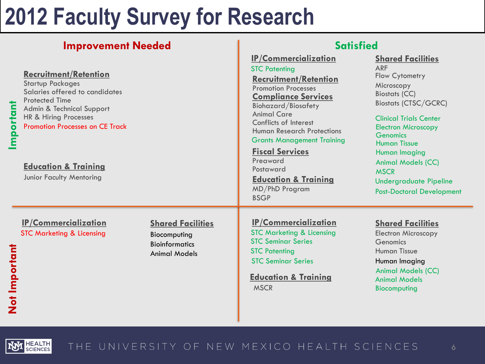## **Improvement Needed and Satisfied Satisfied**

HEALTH<br>SCIENCES

| mportant      | <b>Recruitment/Retention</b><br><b>Startup Packages</b><br>Salaries offered to candidates<br><b>Protected Time</b><br>Admin & Technical Support<br>HR & Hiring Processes<br><b>Promotion Processes on CE Track</b><br><b>Education &amp; Training</b><br>Junior Faculty Mentoring |                                                                                           | <b>IP/Commercialization</b><br><b>STC Patenting</b><br><b>Recruitment/Retention</b><br><b>Promotion Processes</b><br><b>Compliance Services</b><br><b>Biohazard/Biosafety</b><br><b>Animal Care</b><br>Conflicts of Interest<br><b>Human Research Protections</b><br><b>Grants Management Training</b><br><b>Fiscal Services</b><br>Preaward<br>Postaward<br><b>Education &amp; Training</b><br>MD/PhD Program<br><b>BSGP</b> | <b>Shared Facilities</b><br><b>ARF</b><br>Flow Cytometry<br>Microscopy<br><b>Biostats (CC)</b><br><b>Biostats (CTSC/GCRC)</b><br><b>Clinical Trials Center</b><br><b>Electron Microscopy</b><br><b>Genomics</b><br><b>Human Tissue</b><br>Human Imaging<br><b>Animal Models (CC)</b><br><b>MSCR</b><br><b>Undergraduate Pipeline</b><br><b>Post-Doctoral Development</b> |
|---------------|-----------------------------------------------------------------------------------------------------------------------------------------------------------------------------------------------------------------------------------------------------------------------------------|-------------------------------------------------------------------------------------------|-------------------------------------------------------------------------------------------------------------------------------------------------------------------------------------------------------------------------------------------------------------------------------------------------------------------------------------------------------------------------------------------------------------------------------|--------------------------------------------------------------------------------------------------------------------------------------------------------------------------------------------------------------------------------------------------------------------------------------------------------------------------------------------------------------------------|
| Not Important | <b>IP/Commercialization</b><br><b>STC Marketing &amp; Licensing</b>                                                                                                                                                                                                               | <b>Shared Facilities</b><br>Biocomputing<br><b>Bioinformatics</b><br><b>Animal Models</b> | <b>IP/Commercialization</b><br><b>STC Marketing &amp; Licensing</b><br><b>STC Seminar Series</b><br><b>STC Patenting</b><br><b>STC Seminar Series</b><br><b>Education &amp; Training</b><br><b>MSCR</b>                                                                                                                                                                                                                       | <b>Shared Facilities</b><br><b>Electron Microscopy</b><br>Genomics<br><b>Human Tissue</b><br>Human Imaging<br><b>Animal Models (CC)</b><br><b>Animal Models</b><br>Biocomputing                                                                                                                                                                                          |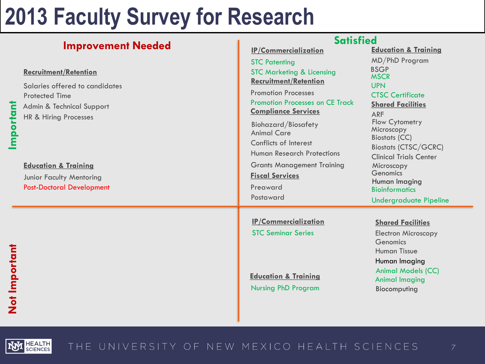|                                                                                                                                                                            | <b>Satisfied</b>                                                                                                                                                                                                                                                                      |                                                                                                                                                                                                                            |
|----------------------------------------------------------------------------------------------------------------------------------------------------------------------------|---------------------------------------------------------------------------------------------------------------------------------------------------------------------------------------------------------------------------------------------------------------------------------------|----------------------------------------------------------------------------------------------------------------------------------------------------------------------------------------------------------------------------|
| <b>Improvement Needed</b><br><b>Recruitment/Retention</b><br>Salaries offered to candidates<br><b>Protected Time</b><br>Admin & Technical Support<br>HR & Hiring Processes | <b>IP/Commercialization</b><br><b>STC Patenting</b><br><b>STC Marketing &amp; Licensing</b><br><b>Recruitment/Retention</b><br><b>Promotion Processes</b><br><b>Promotion Processes on CE Track</b><br><b>Compliance Services</b><br><b>Biohazard/Biosafety</b><br><b>Animal Care</b> | <b>Education &amp; Training</b><br>MD/PhD Program<br><b>BSGP</b><br><b>MSCR</b><br><b>UPN</b><br><b>CTSC Certificate</b><br><b>Shared Facilities</b><br><b>ARF</b><br>Flow Cytometry<br>Microscopy<br><b>Biostats (CC)</b> |
| <b>Education &amp; Training</b><br><b>Junior Faculty Mentoring</b><br><b>Post-Doctoral Development</b>                                                                     | Conflicts of Interest<br><b>Human Research Protections</b><br><b>Grants Management Training</b><br><b>Fiscal Services</b><br>Preaward<br>Postaward                                                                                                                                    | <b>Biostats (CTSC/GCRC)</b><br><b>Clinical Trials Center</b><br>Microscopy<br>Genomics<br>Human Imaging<br><b>Bioinformatics</b><br><b>Undergraduate Pipeline</b>                                                          |
|                                                                                                                                                                            | <b>IP/Commercialization</b><br><b>STC Seminar Series</b><br><b>Education &amp; Training</b><br><b>Nursing PhD Program</b>                                                                                                                                                             | <b>Shared Facilities</b><br><b>Electron Microscopy</b><br>Genomics<br><b>Human Tissue</b><br>Human Imaging<br><b>Animal Models (CC)</b><br><b>Animal Imaging</b><br>Biocomputing                                           |

**Not Important**

Not Important

**Important**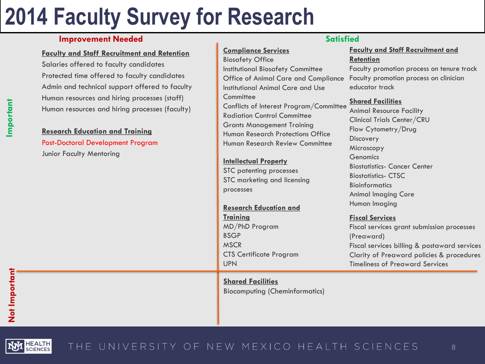## **Improvement Needed Satisfied Satisfied Satisfied**

### **Faculty and Staff Recruitment and Retention**

Salaries offered to faculty candidates Protected time offered to faculty candidates Admin and technical support offered to faculty Human resources and hiring processes (staff) Human resources and hiring processes (faculty)

### **Research Education and Training**

Post-Doctoral Development Program Junior Faculty Mentoring

### **Compliance Services** Biosafety Office Institutional Biosafety Committee Office of Animal Care and Compliance Institutional Animal Care and Use **Committee** Conflicts of Interest Program/Committee Radiation Control Committee Grants Management Training Human Research Protections Office Human Research Review Committee

### **Intellectual Property**

STC patenting processes STC marketing and licensing processes

### **Research Education and**

**Training** MD/PhD Program BSGP MSCR CTS Certificate Program UPN

### **Shared Facilities** Biocomputing (Cheminformatics)

### **Faculty and Staff Recruitment and Retention**

Faculty promotion process on tenure track Faculty promotion process on clinician educator track

### **Shared Facilities**

Animal Resource Facility Clinical Trials Center/CRU Flow Cytometry/Drug **Discovery** Microscopy **Genomics** Biostatistics- Cancer Center Biostatistics- CTSC **Bioinformatics** Animal Imaging Core Human Imaging

### **Fiscal Services**

Fiscal services grant submission processes (Preaward) Fiscal services billing & postaward services Clarity of Preaward policies & procedures Timeliness of Preaward Services

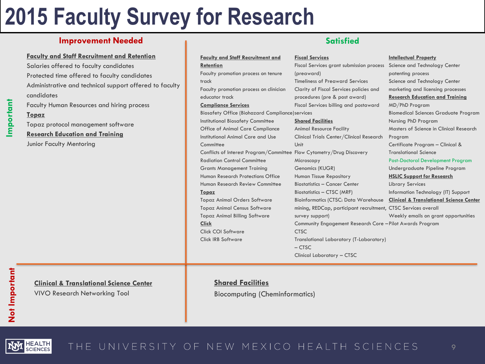## **Improvement Needed Satisfied Satisfied Satisfied**

#### **Faculty and Staff Recruitment and Retention**

Salaries offered to faculty candidates Protected time offered to faculty candidates Administrative and technical support offered to faculty candidates

Faculty Human Resources and hiring process

### **Topaz**

**Important**

Topaz protocol management software **Research Education and Training** Junior Faculty Mentoring

Not Important **Not Important**

### **Clinical & Translational Science Center**

VIVO Research Networking Tool

#### **Faculty and Staff Recruitment and Retention** Faculty promotion process on tenure track Faculty promotion process on clinician educator track **Compliance Services** Biosafety Office (Biohazard Compliance) services Institutional Biosafety Committee Office of Animal Care Compliance Institutional Animal Care and Use **Committee** Conflicts of Interest Program/Committee Flow Cytometry/Drug Discovery Radiation Control Committee Grants Management Training Human Research Protections Office Human Research Review Committee **Topaz** Topaz Animal Orders Software Topaz Animal Census Software Topaz Animal Billing Software **Click** Click COI Software Click IRB Software **Shared Facilities** Unit **CTSC**

### **Fiscal Services** Fiscal Services grant submission process (preaward) Timeliness of Preaward Services Clarity of Fiscal Services policies and procedures (pre & post award) Fiscal Services billing and postaward

Animal Resource Facility Clinical Trials Center/Clinical Research Microscopy Genomics (KUGR) Human Tissue Repository Biostatistics – Cancer Center Biostatistics – CTSC (MRF) Bioinformatics (CTSC: Data Warehouse mining, REDCap, participant recruitment, CTSC Services overall survey support) Community Engagement Research Core – Pilot Awards Program Translational Laboratory (T-Laboratory) – CTSC Clinical Laboratory – CTSC

#### **Intellectual Property**

Science and Technology Center patenting process Science and Technology Center marketing and licensing processes **Research Education and Training** MD/PhD Program Biomedical Sciences Graduate Program Nursing PhD Program Masters of Science in Clinical Research Program Certificate Program – Clinical & Translational Science Post-Doctoral Development Program Undergraduate Pipeline Program **HSLIC Support for Research**  Library Services Information Technology (IT) Support **Clinical & Translational Science Center** Weekly emails on grant opportunities

## **Shared Facilities**

Biocomputing (Cheminformatics)

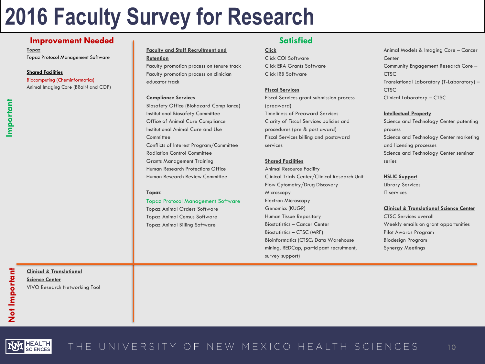### **Improvement Needed Satisfied Satisfied Satisfied**

**Topaz**

Topaz Protocol Management Software

#### **Shared Facilities**

Animal Imaging Core (BRaIN and COP) Biocomputing (Cheminformatics)

### **Faculty and Staff Recruitment and Retention**

Faculty promotion process on tenure track Faculty promotion process on clinician educator track

#### **Compliance Services**

Biosafety Office (Biohazard Compliance) Institutional Biosafety Committee Office of Animal Care Compliance Institutional Animal Care and Use **Committee** Conflicts of Interest Program/Committee Radiation Control Committee Grants Management Training Human Research Protections Office Human Research Review Committee

#### **Topaz**

#### Topaz Protocol Management Software

Topaz Animal Orders Software Topaz Animal Census Software Topaz Animal Billing Software

#### **Click**

Click COI Software Click ERA Grants Software Click IRB Software

#### **Fiscal Services**

Fiscal Services grant submission process (preaward) Timeliness of Preaward Services Clarity of Fiscal Services policies and procedures (pre & post award) Fiscal Services billing and postaward services

#### **Shared Facilities**

Animal Resource Facility Clinical Trials Center/Clinical Research Unit Flow Cytometry/Drug Discovery Microscopy Electron Microscopy Genomics (KUGR) Human Tissue Repository Biostatistics – Cancer Center Biostatistics – CTSC (MRF) Bioinformatics (CTSC: Data Warehouse mining, REDCap, participant recruitment, survey support)

Animal Models & Imaging Core – Cancer **Center** Community Engagement Research Core – **CTSC** Translational Laboratory (T-Laboratory) – **CTSC** Clinical Laboratory – CTSC

#### **Intellectual Property**

Science and Technology Center patenting process Science and Technology Center marketing and licensing processes Science and Technology Center seminar series

#### **HSLIC Support**

Library Services IT services

#### **Clinical & Translational Science Center**

CTSC Services overall Weekly emails on grant opportunities Pilot Awards Program Biodesign Program Synergy Meetings



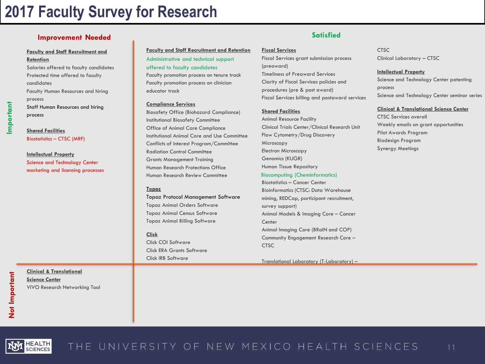## **Improvement Needed Satisfied Satisfied**

**Faculty and Staff Recruitment and Retention** Salaries offered to faculty candidates Protected time offered to faculty

candidates Faculty Human Resources and hiring process Staff Human Resources and hiring

**Shared Facilities** Biostatistics – CTSC (MRF)

process

**Intellectual Property** Science and Technology Center marketing and licensing processes **Faculty and Staff Recruitment and Retention** Faculty promotion process on tenure track Faculty promotion process on clinician educator track Administrative and technical support offered to faculty candidates

#### **Compliance Services**

Biosafety Office (Biohazard Compliance) Institutional Biosafety Committee Office of Animal Care Compliance Institutional Animal Care and Use Committee Conflicts of Interest Program/Committee Radiation Control Committee Grants Management Training Human Research Protections Office Human Research Review Committee

#### **Topaz**

Topaz Protocol Management Software Topaz Animal Orders Software Topaz Animal Census Software Topaz Animal Billing Software

#### **Click**

Click COI Software Click ERA Grants Software Click IRB Software

#### **Fiscal Services**

Fiscal Services grant submission process (preaward) Timeliness of Preaward Services Clarity of Fiscal Services policies and procedures (pre & post award) Fiscal Services billing and postaward services

#### **Shared Facilities**

Animal Resource Facility Clinical Trials Center/Clinical Research Unit Flow Cytometry/Drug Discovery Microscopy Electron Microscopy Genomics (KUGR) Human Tissue Repository

#### Biocomputing (Cheminformatics)

Biostatistics – Cancer Center Bioinformatics (CTSC: Data Warehouse mining, REDCap, participant recruitment, survey support) Animal Models & Imaging Core – Cancer **Center** Animal Imaging Core (BRaIN and COP) Community Engagement Research Core – **CTSC** 

Translational Laboratory (T-Laboratory) –

**CTSC** Clinical Laboratory – CTSC

#### **Intellectual Property**

Science and Technology Center patenting process Science and Technology Center seminar series

#### **Clinical & Translational Science Center**

CTSC Services overall Weekly emails on grant opportunities Pilot Awards Program Biodesign Program Synergy Meetings

**Clinical & Translational Science Center** VIVO Research Networking Tool

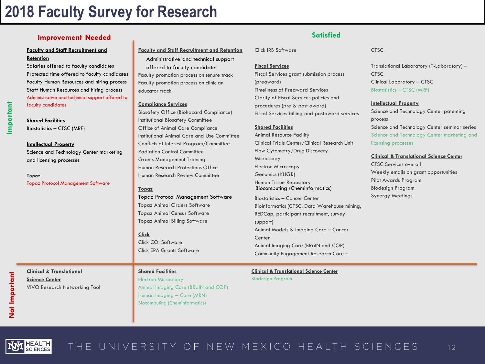## **Improvement Needed Satisfied Satisfied**

#### **Faculty and Staff Recruitment and Retention**

Salaries offered to faculty candidates Protected time offered to faculty candidates Faculty Human Resources and hiring process Staff Human Resources and hiring process Administrative and technical support offered to faculty candidates

## **Shared Facilities**

Biostatistics – CTSC (MRF)

#### **Intellectual Property**

**Clinical & Translational Science Center**

VIVO Research Networking Tool

Science and Technology Center marketing and licensing processes

**Topaz** Topaz Protocol Management Software **Faculty and Staff Recruitment and Retention** Faculty promotion process on tenure track Faculty promotion process on clinician educator track Administrative and technical support offered to faculty candidates

#### **Compliance Services**

Biosafety Office (Biohazard Compliance) Institutional Biosafety Committee Office of Animal Care Compliance Institutional Animal Care and Use Committee Conflicts of Interest Program/Committee Radiation Control Committee Grants Management Training Human Research Protections Office Human Research Review Committee

#### **Topaz**

Topaz Protocol Management Software Topaz Animal Orders Software Topaz Animal Census Software Topaz Animal Billing Software

#### **Click**

Click COI Software Click ERA Grants Software

### **Shared Facilities**

Electron Microscopy Animal Imaging Core (BRaIN and COP) Human Imaging – Core (MRN) Biocomputing (Cheminformatics)

Click IRB Software

#### **Fiscal Services**

Fiscal Services grant submission process (preaward) Timeliness of Preaward Services Clarity of Fiscal Services policies and procedures (pre & post award) Fiscal Services billing and postaward services

#### **Shared Facilities**

Animal Resource Facility Clinical Trials Center/Clinical Research Unit Flow Cytometry/Drug Discovery Microscopy Electron Microscopy Genomics (KUGR) Human Tissue Repository Biocomputing (Cheminformatics)

Biostatistics – Cancer Center Bioinformatics (CTSC: Data Warehouse mining, REDCap, participant recruitment, survey support) Animal Models & Imaging Core – Cancer **Center** Animal Imaging Core (BRaIN and COP) Community Engagement Research Core –

## **Clinical & Translational Science Center**

Biodesign Program

#### **CTSC**

Translational Laboratory (T-Laboratory) – **CTSC** Clinical Laboratory – CTSC Biostatistics – CTSC (MRF)

#### **Intellectual Property**

Science and Technology Center patenting process Science and Technology Center seminar series Science and Technology Center marketing and licensing processes

#### **Clinical & Translational Science Center**

CTSC Services overall Weekly emails on grant opportunities Pilot Awards Program Biodesign Program Synergy Meetings

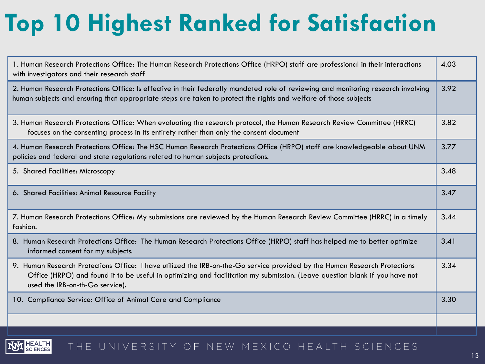# **Top 10 Highest Ranked for Satisfaction**

| 1. Human Research Protections Office: The Human Research Protections Office (HRPO) staff are professional in their interactions<br>with investigators and their research staff                                                                                                               | 4.03 |
|----------------------------------------------------------------------------------------------------------------------------------------------------------------------------------------------------------------------------------------------------------------------------------------------|------|
| 2. Human Research Protections Office: Is effective in their federally mandated role of reviewing and monitoring research involving<br>human subjects and ensuring that appropriate steps are taken to protect the rights and welfare of those subjects                                       | 3.92 |
| 3. Human Research Protections Office: When evaluating the research protocol, the Human Research Review Committee (HRRC)<br>focuses on the consenting process in its entirety rather than only the consent document                                                                           | 3.82 |
| 4. Human Research Protections Office: The HSC Human Research Protections Office (HRPO) staff are knowledgeable about UNM<br>policies and federal and state regulations related to human subjects protections.                                                                                | 3.77 |
| 5. Shared Facilities: Microscopy                                                                                                                                                                                                                                                             | 3.48 |
| 6. Shared Facilities: Animal Resource Facility                                                                                                                                                                                                                                               | 3.47 |
| 7. Human Research Protections Office: My submissions are reviewed by the Human Research Review Committee (HRRC) in a timely<br>fashion.                                                                                                                                                      | 3.44 |
| 8. Human Research Protections Office: The Human Research Protections Office (HRPO) staff has helped me to better optimize<br>informed consent for my subjects.                                                                                                                               | 3.41 |
| 9. Human Research Protections Office: I have utilized the IRB-on-the-Go service provided by the Human Research Protections<br>Office (HRPO) and found it to be useful in optimizing and facilitation my submission. (Leave question blank if you have not<br>used the IRB-on-th-Go service). | 3.34 |
| 10. Compliance Service: Office of Animal Care and Compliance                                                                                                                                                                                                                                 | 3.30 |
|                                                                                                                                                                                                                                                                                              |      |

#### HEALTH<br>SCIENCES THE UNIVERSITY OF NEW MEXICO HEALTH SCIENCES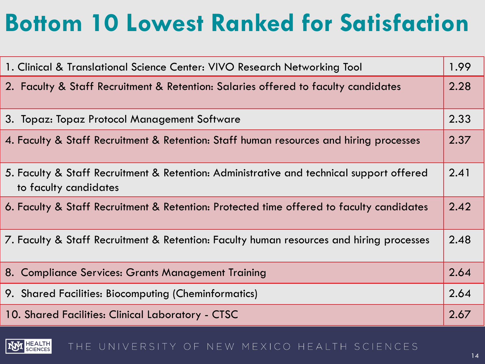# **Bottom 10 Lowest Ranked for Satisfaction**

| 1. Clinical & Translational Science Center: VIVO Research Networking Tool                                         |      |
|-------------------------------------------------------------------------------------------------------------------|------|
| 2. Faculty & Staff Recruitment & Retention: Salaries offered to faculty candidates                                | 2.28 |
| 3. Topaz: Topaz Protocol Management Software                                                                      | 2.33 |
| 4. Faculty & Staff Recruitment & Retention: Staff human resources and hiring processes                            | 2.37 |
| 5. Faculty & Staff Recruitment & Retention: Administrative and technical support offered<br>to faculty candidates | 2.41 |
| 6. Faculty & Staff Recruitment & Retention: Protected time offered to faculty candidates                          | 2.42 |
| 7. Faculty & Staff Recruitment & Retention: Faculty human resources and hiring processes                          | 2.48 |
| 8. Compliance Services: Grants Management Training                                                                | 2.64 |
| 9. Shared Facilities: Biocomputing (Cheminformatics)                                                              | 2.64 |
| 10. Shared Facilities: Clinical Laboratory - CTSC                                                                 | 2.67 |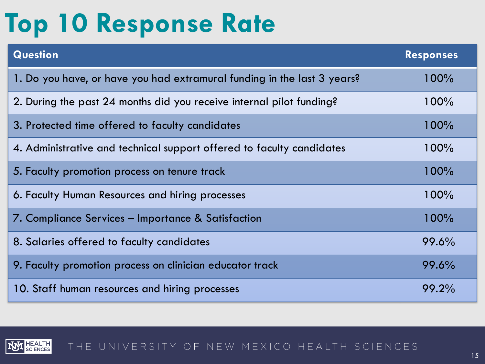# **Top 10 Response Rate**

| <b>Question</b>                                                         | <b>Responses</b> |
|-------------------------------------------------------------------------|------------------|
| 1. Do you have, or have you had extramural funding in the last 3 years? | 100%             |
| 2. During the past 24 months did you receive internal pilot funding?    | 100%             |
| 3. Protected time offered to faculty candidates                         | 100%             |
| 4. Administrative and technical support offered to faculty candidates   | 100%             |
| 5. Faculty promotion process on tenure track                            | 100%             |
| 6. Faculty Human Resources and hiring processes                         | 100%             |
| 7. Compliance Services – Importance & Satisfaction                      | 100%             |
| 8. Salaries offered to faculty candidates                               | 99.6%            |
| 9. Faculty promotion process on clinician educator track                | 99.6%            |
| 10. Staff human resources and hiring processes                          | 99.2%            |

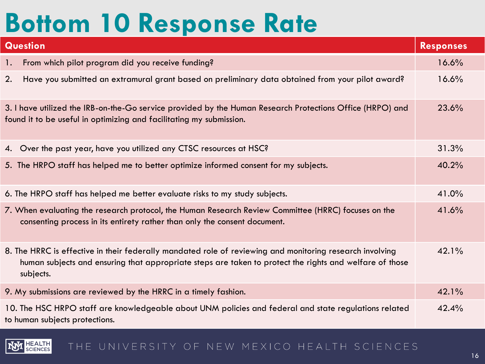# **Bottom 10 Response Rate**

N

| <b>Question</b>                                                                                                                                                                                                                  | <b>Responses</b> |
|----------------------------------------------------------------------------------------------------------------------------------------------------------------------------------------------------------------------------------|------------------|
| From which pilot program did you receive funding?<br>1.                                                                                                                                                                          | 16.6%            |
| Have you submitted an extramural grant based on preliminary data obtained from your pilot award?<br>2.                                                                                                                           | 16.6%            |
| 3. I have utilized the IRB-on-the-Go service provided by the Human Research Protections Office (HRPO) and<br>found it to be useful in optimizing and facilitating my submission.                                                 | 23.6%            |
| 4. Over the past year, have you utilized any CTSC resources at HSC?                                                                                                                                                              | 31.3%            |
| 5. The HRPO staff has helped me to better optimize informed consent for my subjects.                                                                                                                                             | 40.2%            |
| 6. The HRPO staff has helped me better evaluate risks to my study subjects.                                                                                                                                                      | 41.0%            |
| 7. When evaluating the research protocol, the Human Research Review Committee (HRRC) focuses on the<br>consenting process in its entirety rather than only the consent document.                                                 | 41.6%            |
| 8. The HRRC is effective in their federally mandated role of reviewing and monitoring research involving<br>human subjects and ensuring that appropriate steps are taken to protect the rights and welfare of those<br>subjects. | 42.1%            |
| 9. My submissions are reviewed by the HRRC in a timely fashion.                                                                                                                                                                  | 42.1%            |
| 10. The HSC HRPO staff are knowledgeable about UNM policies and federal and state regulations related<br>to human subjects protections.                                                                                          | 42.4%            |

#### HEALTH<br>SCIENCES THE UNIVERSITY OF NEW MEXICO HEALTH SCIENCES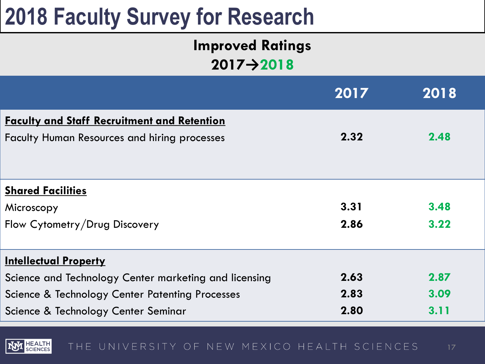## **Improved Ratings 2017→2018**

|                                                       | 2017 | 2018 |
|-------------------------------------------------------|------|------|
| <b>Faculty and Staff Recruitment and Retention</b>    |      |      |
| <b>Faculty Human Resources and hiring processes</b>   | 2.32 | 2.48 |
|                                                       |      |      |
| <b>Shared Facilities</b>                              |      |      |
| Microscopy                                            | 3.31 | 3.48 |
| Flow Cytometry/Drug Discovery                         | 2.86 | 3.22 |
| <b>Intellectual Property</b>                          |      |      |
| Science and Technology Center marketing and licensing | 2.63 | 2.87 |
| Science & Technology Center Patenting Processes       | 2.83 | 3.09 |
| Science & Technology Center Seminar                   | 2.80 | 3.11 |

HEALTH<br>SCIENCES THE UNIVERSITY OF NEW MEXICO HEALTH SCIENCES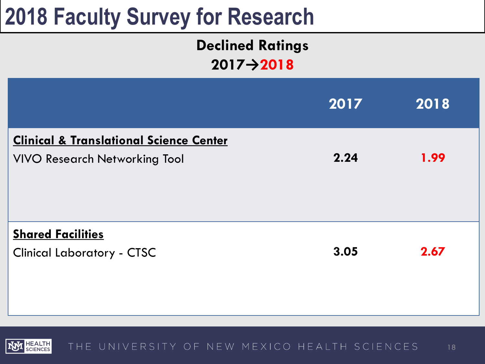## **Declined Ratings 2017→2018**

|                                                                                            | 2017 | 2018 |
|--------------------------------------------------------------------------------------------|------|------|
| <b>Clinical &amp; Translational Science Center</b><br><b>VIVO Research Networking Tool</b> | 2.24 | 1.99 |
| <b>Shared Facilities</b><br><b>Clinical Laboratory - CTSC</b>                              | 3.05 | 2.67 |

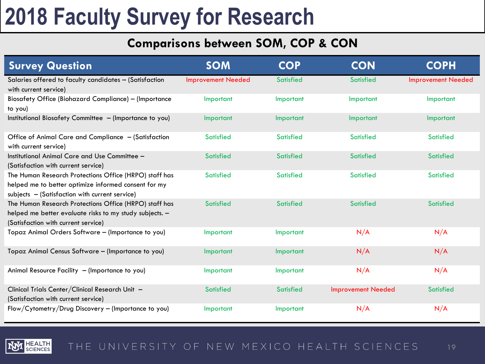## **Comparisons between SOM, COP & CON**

| <b>Survey Question</b>                                                                                                                                           | <b>SOM</b>                | <b>COP</b>       | <b>CON</b>                | <b>COPH</b>               |
|------------------------------------------------------------------------------------------------------------------------------------------------------------------|---------------------------|------------------|---------------------------|---------------------------|
| Salaries offered to faculty candidates - (Satisfaction<br>with current service)                                                                                  | <b>Improvement Needed</b> | <b>Satisfied</b> | <b>Satisfied</b>          | <b>Improvement Needed</b> |
| <b>Biosafety Office (Biohazard Compliance) - (Importance</b><br>to you)                                                                                          | Important                 | Important        | Important                 | Important                 |
| Institutional Biosafety Committee - (Importance to you)                                                                                                          | Important                 | Important        | Important                 | Important                 |
| Office of Animal Care and Compliance - (Satisfaction<br>with current service)                                                                                    | <b>Satisfied</b>          | <b>Satisfied</b> | <b>Satisfied</b>          | <b>Satisfied</b>          |
| Institutional Animal Care and Use Committee -<br>(Satisfaction with current service)                                                                             | <b>Satisfied</b>          | <b>Satisfied</b> | <b>Satisfied</b>          | <b>Satisfied</b>          |
| The Human Research Protections Office (HRPO) staff has<br>helped me to better optimize informed consent for my<br>subjects - (Satisfaction with current service) | <b>Satisfied</b>          | <b>Satisfied</b> | <b>Satisfied</b>          | <b>Satisfied</b>          |
| The Human Research Protections Office (HRPO) staff has<br>helped me better evaluate risks to my study subjects. -<br>(Satisfaction with current service)         | <b>Satisfied</b>          | <b>Satisfied</b> | <b>Satisfied</b>          | <b>Satisfied</b>          |
| Topaz Animal Orders Software - (Importance to you)                                                                                                               | Important                 | Important        | N/A                       | N/A                       |
| Topaz Animal Census Software - (Importance to you)                                                                                                               | Important                 | Important        | N/A                       | N/A                       |
| Animal Resource Facility - (Importance to you)                                                                                                                   | Important                 | Important        | N/A                       | N/A                       |
| Clinical Trials Center/Clinical Research Unit -<br>(Satisfaction with current service)                                                                           | <b>Satisfied</b>          | <b>Satisfied</b> | <b>Improvement Needed</b> | <b>Satisfied</b>          |
| Flow/Cytometry/Drug Discovery - (Importance to you)                                                                                                              | Important                 | Important        | N/A                       | N/A                       |

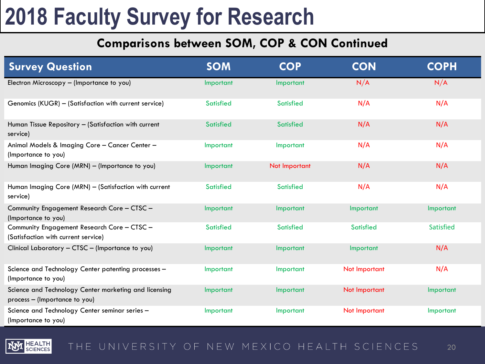## **Comparisons between SOM, COP & CON Continued**

| <b>Survey Question</b>                                                                 | <b>SOM</b>       | <b>COP</b>       | <b>CON</b>       | <b>COPH</b>      |
|----------------------------------------------------------------------------------------|------------------|------------------|------------------|------------------|
| Electron Microscopy - (Importance to you)                                              | Important        | Important        | N/A              | N/A              |
| Genomics (KUGR) - (Satisfaction with current service)                                  | <b>Satisfied</b> | <b>Satisfied</b> | N/A              | N/A              |
| Human Tissue Repository - (Satisfaction with current<br>service)                       | <b>Satisfied</b> | <b>Satisfied</b> | N/A              | N/A              |
| Animal Models & Imaging Core - Cancer Center -<br>(Importance to you)                  | Important        | Important        | N/A              | N/A              |
| Human Imaging Core (MRN) - (Importance to you)                                         | Important        | Not Important    | N/A              | N/A              |
| Human Imaging Core (MRN) - (Satisfaction with current<br>service)                      | <b>Satisfied</b> | <b>Satisfied</b> | N/A              | N/A              |
| Community Engagement Research Core - CTSC -<br>(Importance to you)                     | Important        | Important        | Important        | Important        |
| Community Engagement Research Core - CTSC -<br>(Satisfaction with current service)     | <b>Satisfied</b> | <b>Satisfied</b> | <b>Satisfied</b> | <b>Satisfied</b> |
| Clinical Laboratory - CTSC - (Importance to you)                                       | Important        | Important        | Important        | N/A              |
| Science and Technology Center patenting processes -<br>(Importance to you)             | Important        | Important        | Not Important    | N/A              |
| Science and Technology Center marketing and licensing<br>process - (Importance to you) | Important        | Important        | Not Important    | Important        |
| Science and Technology Center seminar series -<br>(Importance to you)                  | Important        | Important        | Not Important    | Important        |